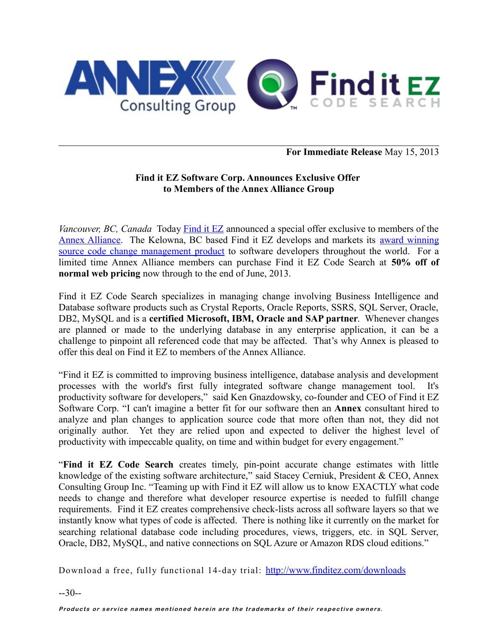

### **For Immediate Release** May 15, 2013

#### **Find it EZ Software Corp. Announces Exclusive Offer to Members of the Annex Alliance Group**

*Vancouver, BC, Canada* Today [Find it EZ](http://www.finditez.com/) announced a special offer exclusive to members of the [Annex Alliance.](http://www.annexgroup.com/annex-alliance/) The Kelowna, BC based Find it EZ develops and markets its [award winning](http://www.youtube.com/watch?v=Hh5UnfjQVEo) [source code change management product](http://www.youtube.com/watch?v=Hh5UnfjQVEo) to software developers throughout the world. For a limited time Annex Alliance members can purchase Find it EZ Code Search at **50% off of normal web pricing** now through to the end of June, 2013.

Find it EZ Code Search specializes in managing change involving Business Intelligence and Database software products such as Crystal Reports, Oracle Reports, SSRS, SQL Server, Oracle, DB2, MySQL and is a **certified Microsoft, IBM, Oracle and SAP partner**. Whenever changes are planned or made to the underlying database in any enterprise application, it can be a challenge to pinpoint all referenced code that may be affected. That's why Annex is pleased to offer this deal on Find it EZ to members of the Annex Alliance.

"Find it EZ is committed to improving business intelligence, database analysis and development processes with the world's first fully integrated software change management tool. It's productivity software for developers," said Ken Gnazdowsky, co-founder and CEO of Find it EZ Software Corp. "I can't imagine a better fit for our software then an **Annex** consultant hired to analyze and plan changes to application source code that more often than not, they did not originally author. Yet they are relied upon and expected to deliver the highest level of productivity with impeccable quality, on time and within budget for every engagement."

"**Find it EZ Code Search** creates timely, pin-point accurate change estimates with little knowledge of the existing software architecture," said Stacey Cerniuk, President & CEO, Annex Consulting Group Inc. "Teaming up with Find it EZ will allow us to know EXACTLY what code needs to change and therefore what developer resource expertise is needed to fulfill change requirements. Find it EZ creates comprehensive check-lists across all software layers so that we instantly know what types of code is affected. There is nothing like it currently on the market for searching relational database code including procedures, views, triggers, etc. in SQL Server, Oracle, DB2, MySQL, and native connections on SQL Azure or Amazon RDS cloud editions."

<span id="page-0-0"></span>Download a free, fully functional 14-day trial: [http://www.finditez.com/downloads](#page-0-0)